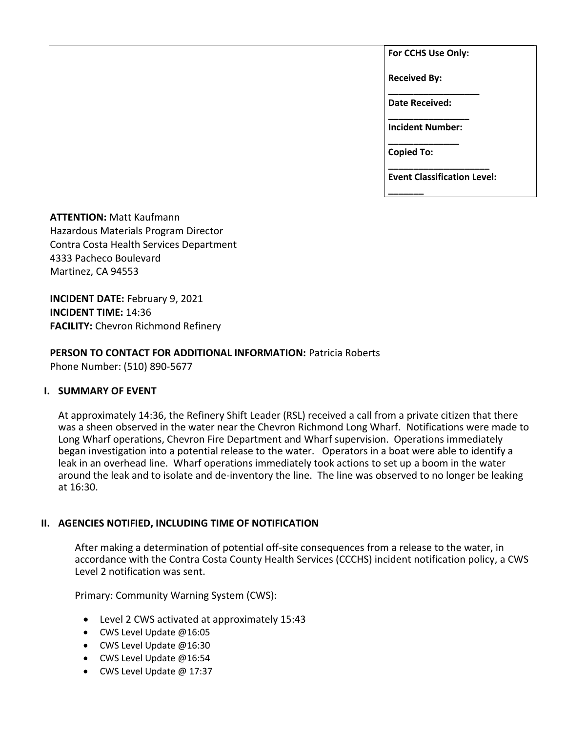**For CCHS Use Only:**

**Received By:** 

**\_\_\_\_\_\_\_\_\_\_\_\_\_\_\_\_\_\_ Date Received:** 

**\_\_\_\_\_\_\_\_\_\_\_\_\_\_\_\_ Incident Number: \_\_\_\_\_\_\_\_\_\_\_\_\_\_**

**Copied To:** 

**\_\_\_\_\_\_\_**

**\_\_\_\_\_\_\_\_\_\_\_\_\_\_\_\_\_\_\_\_ Event Classification Level:** 

**ATTENTION:** Matt Kaufmann Hazardous Materials Program Director Contra Costa Health Services Department 4333 Pacheco Boulevard Martinez, CA 94553

**INCIDENT DATE:** February 9, 2021 **INCIDENT TIME:** 14:36 **FACILITY:** Chevron Richmond Refinery

**PERSON TO CONTACT FOR ADDITIONAL INFORMATION:** Patricia Roberts Phone Number: (510) 890-5677

## **I. SUMMARY OF EVENT**

At approximately 14:36, the Refinery Shift Leader (RSL) received a call from a private citizen that there was a sheen observed in the water near the Chevron Richmond Long Wharf. Notifications were made to Long Wharf operations, Chevron Fire Department and Wharf supervision. Operations immediately began investigation into a potential release to the water. Operators in a boat were able to identify a leak in an overhead line. Wharf operations immediately took actions to set up a boom in the water around the leak and to isolate and de-inventory the line. The line was observed to no longer be leaking at 16:30.

## **II. AGENCIES NOTIFIED, INCLUDING TIME OF NOTIFICATION**

After making a determination of potential off-site consequences from a release to the water, in accordance with the Contra Costa County Health Services (CCCHS) incident notification policy, a CWS Level 2 notification was sent.

Primary: Community Warning System (CWS):

- Level 2 CWS activated at approximately 15:43
- CWS Level Update @16:05
- CWS Level Update @16:30
- CWS Level Update @16:54
- CWS Level Update @ 17:37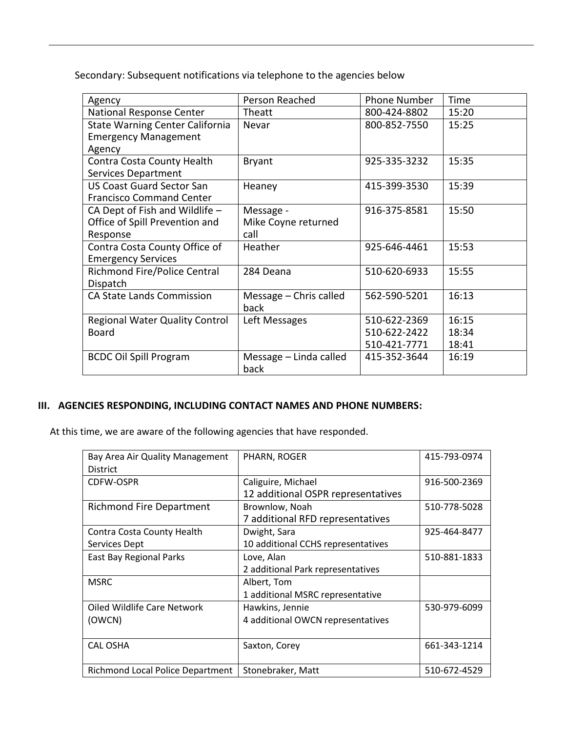Secondary: Subsequent notifications via telephone to the agencies below

| Agency                                 | Person Reached         | <b>Phone Number</b> | Time  |
|----------------------------------------|------------------------|---------------------|-------|
| National Response Center               | Theatt                 | 800-424-8802        | 15:20 |
| <b>State Warning Center California</b> | Nevar                  | 800-852-7550        | 15:25 |
| <b>Emergency Management</b>            |                        |                     |       |
| Agency                                 |                        |                     |       |
| Contra Costa County Health             | <b>Bryant</b>          | 925-335-3232        | 15:35 |
| <b>Services Department</b>             |                        |                     |       |
| <b>US Coast Guard Sector San</b>       | Heaney                 | 415-399-3530        | 15:39 |
| <b>Francisco Command Center</b>        |                        |                     |       |
| CA Dept of Fish and Wildlife $-$       | Message -              | 916-375-8581        | 15:50 |
| Office of Spill Prevention and         | Mike Coyne returned    |                     |       |
| Response                               | call                   |                     |       |
| Contra Costa County Office of          | Heather                | 925-646-4461        | 15:53 |
| <b>Emergency Services</b>              |                        |                     |       |
| <b>Richmond Fire/Police Central</b>    | 284 Deana              | 510-620-6933        | 15:55 |
| Dispatch                               |                        |                     |       |
| <b>CA State Lands Commission</b>       | Message - Chris called | 562-590-5201        | 16:13 |
|                                        | back                   |                     |       |
| <b>Regional Water Quality Control</b>  | Left Messages          | 510-622-2369        | 16:15 |
| <b>Board</b>                           |                        | 510-622-2422        | 18:34 |
|                                        |                        | 510-421-7771        | 18:41 |
| <b>BCDC Oil Spill Program</b>          | Message - Linda called | 415-352-3644        | 16:19 |
|                                        | back                   |                     |       |

# **III. AGENCIES RESPONDING, INCLUDING CONTACT NAMES AND PHONE NUMBERS:**

At this time, we are aware of the following agencies that have responded.

| Bay Area Air Quality Management  | PHARN, ROGER                       | 415-793-0974 |
|----------------------------------|------------------------------------|--------------|
| <b>District</b>                  |                                    |              |
| <b>CDFW-OSPR</b>                 | Caliguire, Michael                 | 916-500-2369 |
|                                  | 12 additional OSPR representatives |              |
| <b>Richmond Fire Department</b>  | Brownlow, Noah                     | 510-778-5028 |
|                                  | 7 additional RFD representatives   |              |
| Contra Costa County Health       | Dwight, Sara                       | 925-464-8477 |
| Services Dept                    | 10 additional CCHS representatives |              |
| East Bay Regional Parks          | Love, Alan                         | 510-881-1833 |
|                                  | 2 additional Park representatives  |              |
| <b>MSRC</b>                      | Albert, Tom                        |              |
|                                  | 1 additional MSRC representative   |              |
| Oiled Wildlife Care Network      | Hawkins, Jennie                    | 530-979-6099 |
| (OWCN)                           | 4 additional OWCN representatives  |              |
|                                  |                                    |              |
| <b>CAL OSHA</b>                  | Saxton, Corey                      | 661-343-1214 |
|                                  |                                    |              |
| Richmond Local Police Department | Stonebraker, Matt                  | 510-672-4529 |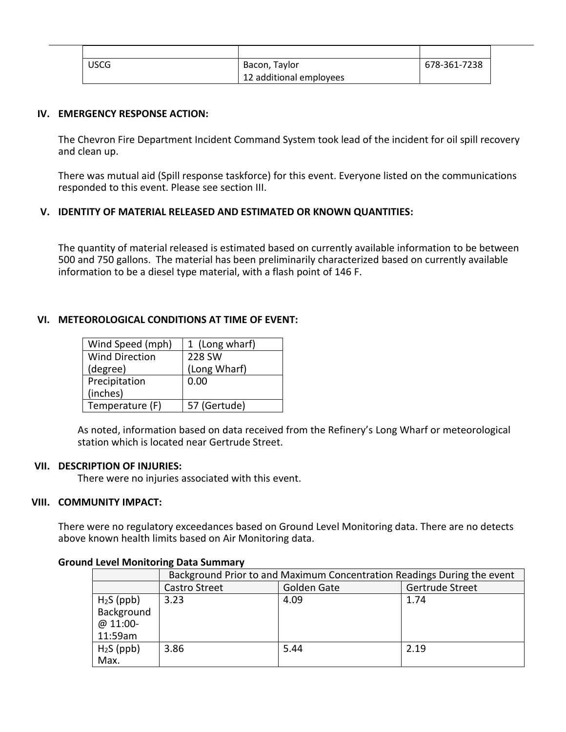| USCG | Bacon, Taylor           | 678-361-7238 |
|------|-------------------------|--------------|
|      | 12 additional employees |              |

### **IV. EMERGENCY RESPONSE ACTION:**

The Chevron Fire Department Incident Command System took lead of the incident for oil spill recovery and clean up.

There was mutual aid (Spill response taskforce) for this event. Everyone listed on the communications responded to this event. Please see section III.

## **V. IDENTITY OF MATERIAL RELEASED AND ESTIMATED OR KNOWN QUANTITIES:**

The quantity of material released is estimated based on currently available information to be between 500 and 750 gallons. The material has been preliminarily characterized based on currently available information to be a diesel type material, with a flash point of 146 F.

## **VI. METEOROLOGICAL CONDITIONS AT TIME OF EVENT:**

| Wind Speed (mph)      | 1 (Long wharf) |
|-----------------------|----------------|
| <b>Wind Direction</b> | 228 SW         |
| (degree)              | (Long Wharf)   |
| Precipitation         | 0.00           |
| (inches)              |                |
| Temperature (F)       | 57 (Gertude)   |

As noted, information based on data received from the Refinery's Long Wharf or meteorological station which is located near Gertrude Street.

#### **VII. DESCRIPTION OF INJURIES:**

There were no injuries associated with this event.

### **VIII. COMMUNITY IMPACT:**

There were no regulatory exceedances based on Ground Level Monitoring data. There are no detects above known health limits based on Air Monitoring data.

|             | Background Prior to and Maximum Concentration Readings During the event |             |                 |
|-------------|-------------------------------------------------------------------------|-------------|-----------------|
|             | Castro Street                                                           | Golden Gate | Gertrude Street |
| $H2S$ (ppb) | 3.23                                                                    | 4.09        | 1.74            |
| Background  |                                                                         |             |                 |
| $@11:00-$   |                                                                         |             |                 |
| 11:59am     |                                                                         |             |                 |
| $H2S$ (ppb) | 3.86                                                                    | 5.44        | 2.19            |
| Max.        |                                                                         |             |                 |

#### **Ground Level Monitoring Data Summary**